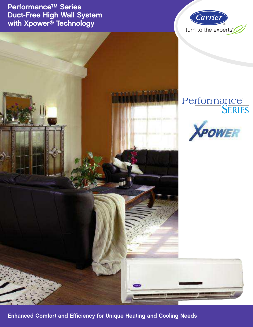Performance™ Series Duct-Free High Wall System with Xpower<sup>®</sup> Technology



# Performance<br>SERIES



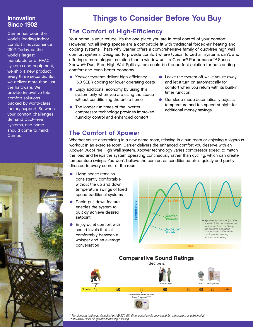## Innovation Since 1902

Carrier has been the world's leading indoor comfort innovator since 1902. Today, as the world's largest manufacturer of HVAC systems and equipment, we ship a new product every three seconds. But we deliver more than just the hardware. We provide innovative total comfort solutions backed by world-class factory support. So when your comfort challenges demand Duct-Free systems, one name should come to mind: Carrier.



## Things to Consider Before You Buy

## The Comfort of High-Efficiency

Your home is your refuge. It's the one place you are in total control of your comfort. However, not all living spaces are a compatible fit with traditional forced-air heating and cooling systems. That's why Carrier offers a comprehensive family of duct-free high wall comfort systems. Designed to provide comfort where typical forced air systems can't, and offering a more elegant solution than a window unit, a Carrier® Performance™ Series Xpower® Duct-Free High Wall Split system could be the perfect solution for outstanding comfort and even better economy.

- Xpower systems deliver high-efficiency, 16.0 SEER cooling for lower operating costs
- Enjoy additional economy by using this system only when you are using the space without conditioning the entire home
- The longer run times of the inverter compressor technology provides improved humidity control and enhanced comfort
- Leave the system off while you're away and let it turn on automatically for comfort when you return with its built-in timer function
- Our sleep mode automatically adjusts temperature and fan speed at night for additional money savings

## The Comfort of Xpower

Whether you're entertaining in a new game room, relaxing in a sun room or enjoying a vigorous workout in an exercise room, Carrier delivers the enhanced comfort you deserve with an Xpower Duct-Free High Wall system. Xpower technology varies compressor speed to match the load and keeps the system operating continuously rather than cycling, which can create temperature swings. You won't believe the comfort as conditioned air is quietly and gently directed to every corner of the room!

- Living space remains consistently comfortable without the up and down temperature swings of fixed speed traditional systems
- Rapid pull down feature enables the system to quickly achieve desired setpoint
- Enjoy quiet comfort with sound levels that fall comfortably between a whisper and an average conversation





*\*\* Per standard testing as described by ARI 270-95. Other sound levels, mentioned for comparison, as published at http://www.nidcd.nih.gov/health/hearing.ruler.asp.*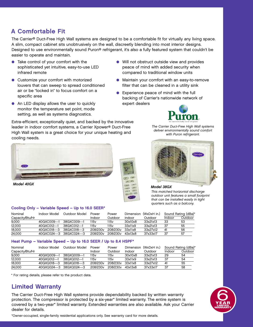## A Comfortable Fit

The Carrier® Duct-Free High Wall systems are designed to be a comfortable fit for virtually any living space. A slim, compact cabinet sits unobtrusively on the wall, discreetly blending into most interior designs. Designed to use environmentally sound Puron® refrigerant, it's also a fully featured system that couldn't be easier to operate and maintain.

- Take control of your comfort with the sophisticated yet intuitive, easy-to-use LED infrared remote
- Customize your comfort with motorized louvers that can sweep to spread conditioned air or be "locked in" to focus comfort on a specific area
- An LED display allows the user to quickly monitor the temperature set point, mode setting, as well as systems diagnostics.
- Will not obstruct outside view and provides peace of mind with added security when compared to traditional window units
- Maintain your comfort with an easy-to-remove filter that can be cleaned in a utility sink
- Experience peace of mind with the full backing of Carrier's nationwide network of expert dealers



The Carrier Duct-Free High Wall systems deliver environmentally sound comfort with Puron refrigerant.

Extra-efficient, exceptionally quiet, and backed by the innovative leader in indoor comfort systems, a Carrier Xpower® Duct-Free High Wall system is a great choice for your unique heating and cooling needs.



Model 40GX

### Cooling Only – Variable Speed – Up to 16.0 SEER\*





#### Model 38GX

This matched horizontal discharge outdoor unit features a small footprint that can be installed easily in tight quarters such as a balcony.

| Nominal         | Indoor Model              | Outdoor Model | Power            | Power            |         | Dimension (WxDxH in.) | Sound Rating (dBa)* |         |
|-----------------|---------------------------|---------------|------------------|------------------|---------|-----------------------|---------------------|---------|
| Capacitv/Btu/Hr |                           |               | Indoor           | Outdoor          | Indoor  | Outdoor               | Indoor              | Outdoor |
| 9.000           | 40GXC009---1              | 38GXC009---1  | 115 <sub>v</sub> | 115 <sub>v</sub> | 30x10x8 | 33x21x13              | 33                  | 53      |
| 12,000          | 40GXC012---1              | 38GXC012---1  | 115v             | 115 <sub>v</sub> | 33x11x9 | 33x21x13              | 37                  | 55      |
| 18.000          | 40GXC018---3 38GXC018---3 |               | 208/230y         | 208/230v         | 33x11x8 | 33x27x12              | 41                  | 56      |
| 24.000          | 40GXC024---3 38GXC024---3 |               | 208/230y         | 208/230y         | 43x13x8 | 37x33x17              | 37                  | 57      |

### Heat Pump – Variable Speed – Up to 16.0 SEER / Up to 8.4 HSPF\*

| Nominal         | Indoor Model | Outdoor Model             | Power    | Power    | (WxDxH in.)<br>Dimension |          | Sound Rating (dBa)* |         |
|-----------------|--------------|---------------------------|----------|----------|--------------------------|----------|---------------------|---------|
| Capacity/Btu/Hr |              |                           | Indoor   | Outdoor  | Indoor                   | Outdoor  | Indoor              | Outdoor |
| 9,000           | 40GXQ009---1 | 38GXQ009---1              | 15v      | 115v     | 30x10x8                  | 33x21x13 | 29                  | 54      |
| 12,000          | 40GXQ012---1 | 38GXQ012---1              | 15v      | 115v     | 33x11x9                  | 33x21x13 | 37                  | 54      |
| 18,000          | 40GXQ018---3 | 38GXQ018---3              | 208/230y | 208/230y | 33x11x8                  | 33x27x12 | 41                  | 55      |
| 24,000          |              | 40GXQ024---3 38GXQ024---3 | 208/230y | 208/230y | 43x13x8                  | 37x33x17 | 37                  | 58      |

\* For rating details, please refer to the product data.

## Limited Warranty

The Carrier Duct-Free High Wall systems provide dependability backed by written warranty protection. The compressor is protected by a six-year\* limited warranty. The entire system is covered by a two-year\* limited warranty. Extended warranties are also available. Ask your Carrier dealer for details.

\*Owner-occupied, single-family residential applications only. See warranty card for more details.